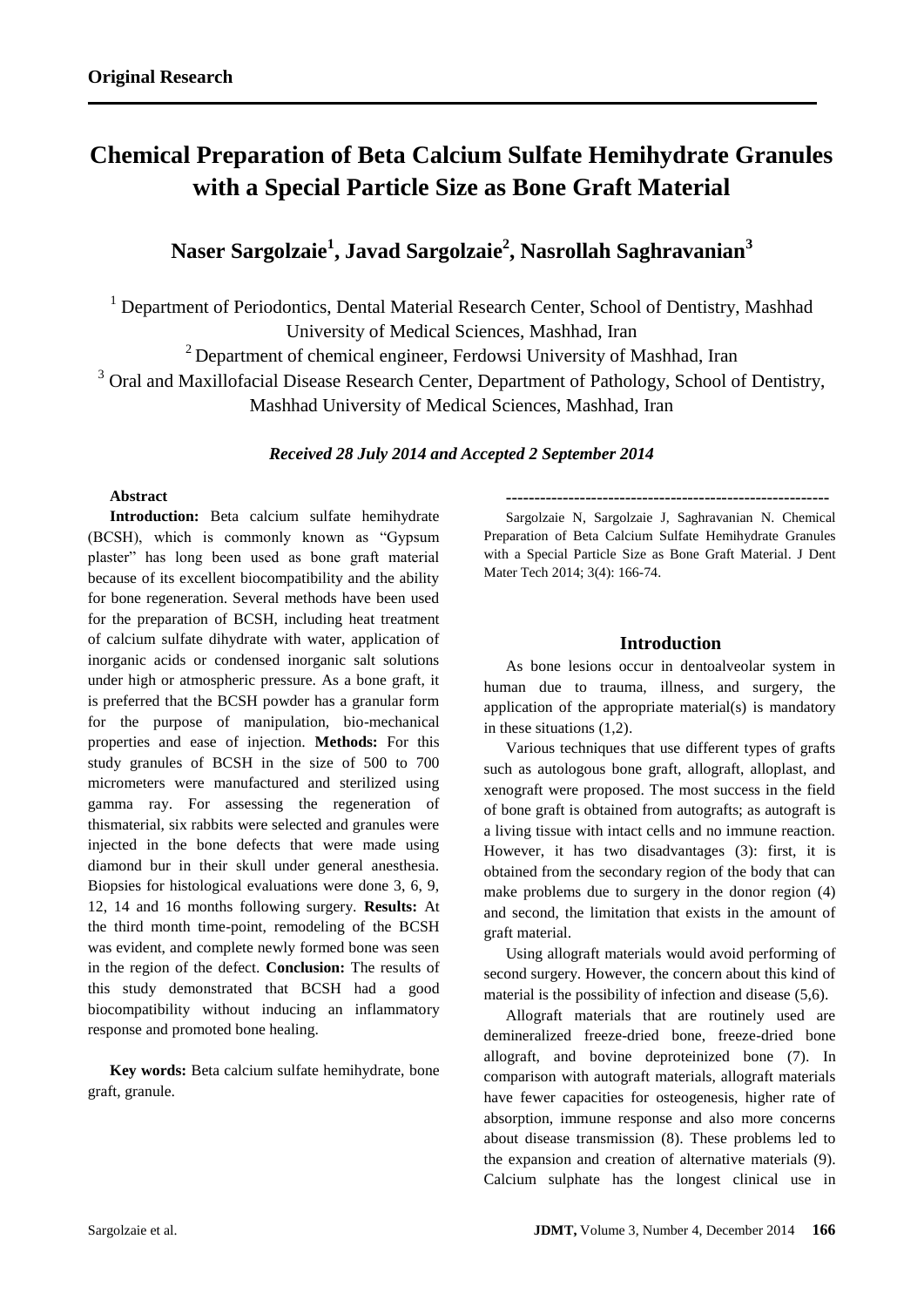# **Chemical Preparation of Beta Calcium Sulfate Hemihydrate Granules with a Special Particle Size as Bone Graft Material**

# **Naser Sargolzaie<sup>1</sup> , Javad Sargolzaie<sup>2</sup> , Nasrollah Saghravanian<sup>3</sup>**

<sup>1</sup> Department of Periodontics, Dental Material Research Center, School of Dentistry, Mashhad University of Medical Sciences, Mashhad, Iran

<sup>2</sup> Department of chemical engineer, Ferdowsi University of Mashhad, Iran

 $3$  Oral and Maxillofacial Disease Research Center, Department of Pathology, School of Dentistry,

Mashhad University of Medical Sciences, Mashhad, Iran

# *Received 28 July 2014 and Accepted 2 September 2014*

# **Abstract**

**Introduction:** Beta calcium sulfate hemihydrate (BCSH), which is commonly known as "Gypsum plaster" has long been used as bone graft material because of its excellent biocompatibility and the ability for bone regeneration. Several methods have been used for the preparation of BCSH, including heat treatment of calcium sulfate dihydrate with water, application of inorganic acids or condensed inorganic salt solutions under high or atmospheric pressure. As a bone graft, it is preferred that the BCSH powder has a granular form for the purpose of manipulation, bio-mechanical properties and ease of injection. **Methods:** For this study granules of BCSH in the size of 500 to 700 micrometers were manufactured and sterilized using gamma ray. For assessing the regeneration of thismaterial, six rabbits were selected and granules were injected in the bone defects that were made using diamond bur in their skull under general anesthesia. Biopsies for histological evaluations were done 3, 6, 9, 12, 14 and 16 months following surgery. **Results:** At the third month time-point, remodeling of the BCSH was evident, and complete newly formed bone was seen in the region of the defect. **Conclusion:** The results of this study demonstrated that BCSH had a good biocompatibility without inducing an inflammatory response and promoted bone healing.

**Key words:** Beta calcium sulfate hemihydrate, bone graft, granule.

**---------------------------------------------------------**

Sargolzaie N, Sargolzaie J, Saghravanian N. Chemical Preparation of Beta Calcium Sulfate Hemihydrate Granules with a Special Particle Size as Bone Graft Material. J Dent Mater Tech 2014; 3(4): 166-74.

# **Introduction**

As bone lesions occur in dentoalveolar system in human due to trauma, illness, and surgery, the application of the appropriate material(s) is mandatory in these situations (1,2).

Various techniques that use different types of grafts such as autologous bone graft, allograft, alloplast, and xenograft were proposed. The most success in the field of bone graft is obtained from autografts; as autograft is a living tissue with intact cells and no immune reaction. However, it has two disadvantages (3): first, it is obtained from the secondary region of the body that can make problems due to surgery in the donor region (4) and second, the limitation that exists in the amount of graft material.

Using allograft materials would avoid performing of second surgery. However, the concern about this kind of material is the possibility of infection and disease (5,6).

Allograft materials that are routinely used are demineralized freeze-dried bone, freeze-dried bone allograft, and bovine deproteinized bone (7). In comparison with autograft materials, allograft materials have fewer capacities for osteogenesis, higher rate of absorption, immune response and also more concerns about disease transmission (8). These problems led to the expansion and creation of alternative materials (9). Calcium sulphate has the longest clinical use in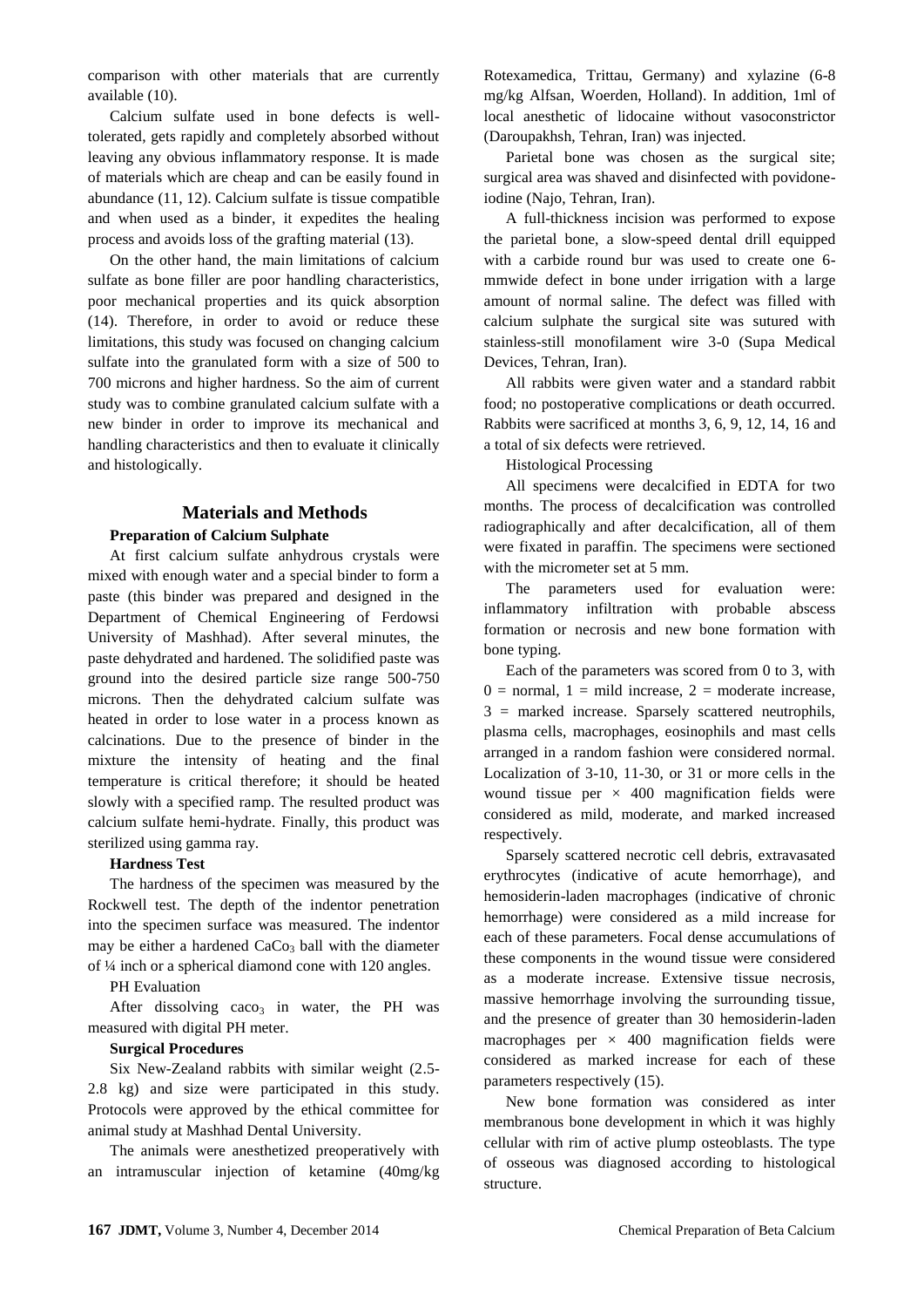comparison with other materials that are currently available (10).

Calcium sulfate used in bone defects is welltolerated, gets rapidly and completely absorbed without leaving any obvious inflammatory response. It is made of materials which are cheap and can be easily found in abundance (11, 12). Calcium sulfate is tissue compatible and when used as a binder, it expedites the healing process and avoids loss of the grafting material (13).

On the other hand, the main limitations of calcium sulfate as bone filler are poor handling characteristics, poor mechanical properties and its quick absorption (14). Therefore, in order to avoid or reduce these limitations, this study was focused on changing calcium sulfate into the granulated form with a size of 500 to 700 microns and higher hardness. So the aim of current study was to combine granulated calcium sulfate with a new binder in order to improve its mechanical and handling characteristics and then to evaluate it clinically and histologically.

# **Materials and Methods**

# **Preparation of Calcium Sulphate**

At first calcium sulfate anhydrous crystals were mixed with enough water and a special binder to form a paste (this binder was prepared and designed in the Department of Chemical Engineering of Ferdowsi University of Mashhad). After several minutes, the paste dehydrated and hardened. The solidified paste was ground into the desired particle size range 500-750 microns. Then the dehydrated calcium sulfate was heated in order to lose water in a process known as calcinations. Due to the presence of binder in the mixture the intensity of heating and the final temperature is critical therefore; it should be heated slowly with a specified ramp. The resulted product was calcium sulfate hemi-hydrate. Finally, this product was sterilized using gamma ray.

#### **Hardness Test**

The hardness of the specimen was measured by the Rockwell test. The depth of the indentor penetration into the specimen surface was measured. The indentor may be either a hardened  $CaCo<sub>3</sub>$  ball with the diameter of ¼ inch or a spherical diamond cone with 120 angles.

#### PH Evaluation

After dissolving  $caco<sub>3</sub>$  in water, the PH was measured with digital PH meter.

### **Surgical Procedures**

Six New-Zealand rabbits with similar weight (2.5- 2.8 kg) and size were participated in this study. Protocols were approved by the ethical committee for animal study at Mashhad Dental University.

The animals were anesthetized preoperatively with an intramuscular injection of ketamine (40mg/kg

Rotexamedica, Trittau, Germany) and xylazine (6-8 mg/kg Alfsan, Woerden, Holland). In addition, 1ml of local anesthetic of lidocaine without vasoconstrictor (Daroupakhsh, Tehran, Iran) was injected.

Parietal bone was chosen as the surgical site; surgical area was shaved and disinfected with povidoneiodine (Najo, Tehran, Iran).

A full-thickness incision was performed to expose the parietal bone, a slow-speed dental drill equipped with a carbide round bur was used to create one 6 mmwide defect in bone under irrigation with a large amount of normal saline. The defect was filled with calcium sulphate the surgical site was sutured with stainless-still monofilament wire 3-0 (Supa Medical Devices, Tehran, Iran).

All rabbits were given water and a standard rabbit food; no postoperative complications or death occurred. Rabbits were sacrificed at months 3, 6, 9, 12, 14, 16 and a total of six defects were retrieved.

Histological Processing

All specimens were decalcified in EDTA for two months. The process of decalcification was controlled radiographically and after decalcification, all of them were fixated in paraffin. The specimens were sectioned with the micrometer set at 5 mm.

The parameters used for evaluation were: inflammatory infiltration with probable abscess formation or necrosis and new bone formation with bone typing.

Each of the parameters was scored from 0 to 3, with  $0 =$  normal,  $1 =$  mild increase,  $2 =$  moderate increase, 3 = marked increase. Sparsely scattered neutrophils, plasma cells, macrophages, eosinophils and mast cells arranged in a random fashion were considered normal. Localization of 3-10, 11-30, or 31 or more cells in the wound tissue per  $\times$  400 magnification fields were considered as mild, moderate, and marked increased respectively.

Sparsely scattered necrotic cell debris, extravasated erythrocytes (indicative of acute hemorrhage), and hemosiderin-laden macrophages (indicative of chronic hemorrhage) were considered as a mild increase for each of these parameters. Focal dense accumulations of these components in the wound tissue were considered as a moderate increase. Extensive tissue necrosis, massive hemorrhage involving the surrounding tissue, and the presence of greater than 30 hemosiderin-laden macrophages per  $\times$  400 magnification fields were considered as marked increase for each of these parameters respectively (15).

New bone formation was considered as inter membranous bone development in which it was highly cellular with rim of active plump osteoblasts. The type of osseous was diagnosed according to histological structure.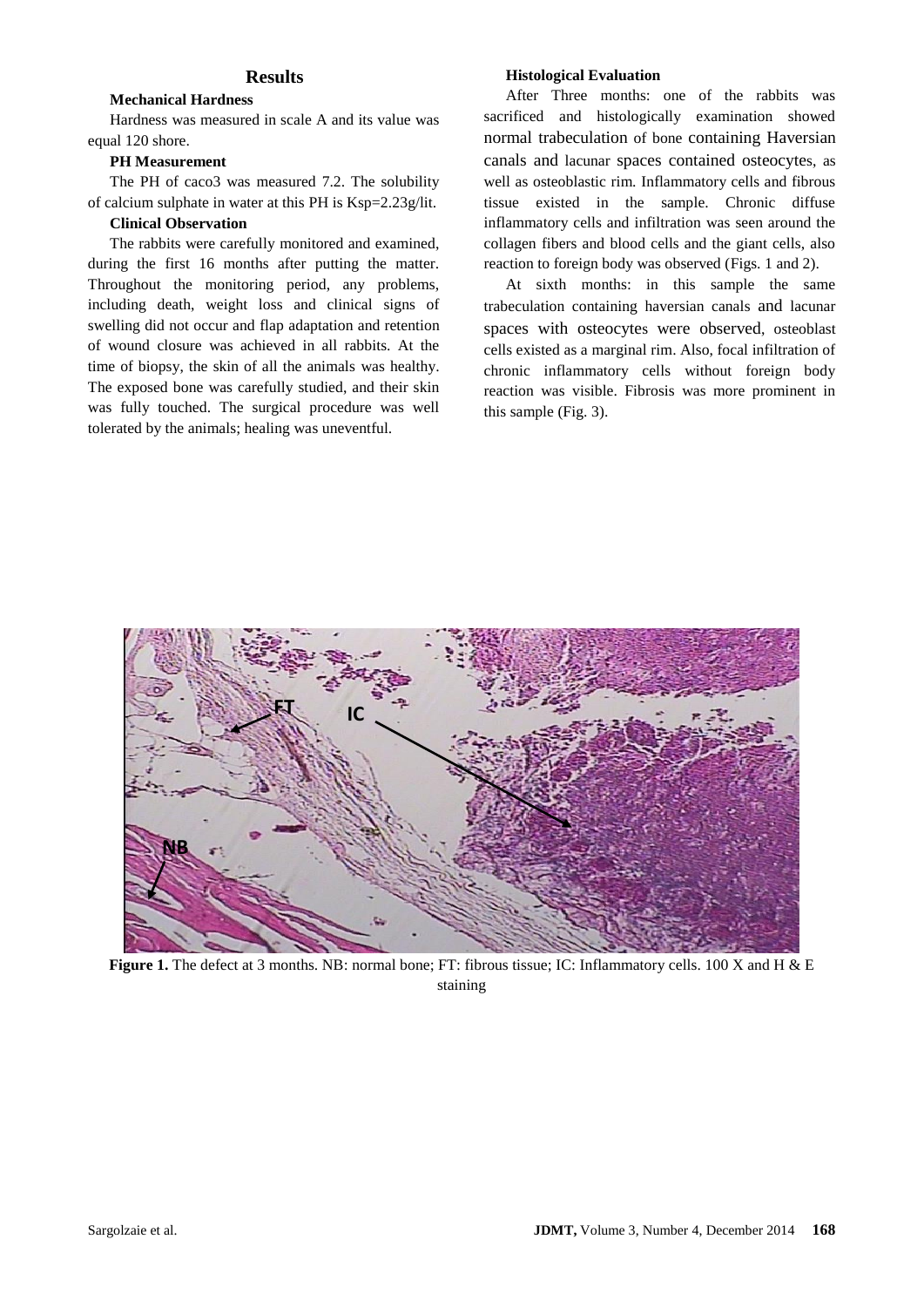#### **Results**

#### **Mechanical Hardness**

Hardness was measured in scale A and its value was equal 120 shore.

#### **PH Measurement**

The PH of caco3 was measured 7.2. The solubility of calcium sulphate in water at this PH is Ksp=2.23g/lit.

#### **Clinical Observation**

The rabbits were carefully monitored and examined, during the first 16 months after putting the matter. Throughout the monitoring period, any problems, including death, weight loss and clinical signs of swelling did not occur and flap adaptation and retention of wound closure was achieved in all rabbits. At the time of biopsy, the skin of all the animals was healthy. The exposed bone was carefully studied, and their skin was fully touched. The surgical procedure was well tolerated by the animals; healing was uneventful.

### **Histological Evaluation**

After Three months: one of the rabbits was sacrificed and histologically examination showed normal trabeculation of bone containing Haversian canals and lacunar spaces contained osteocytes, as well as osteoblastic rim. Inflammatory cells and fibrous tissue existed in the sample. Chronic diffuse inflammatory cells and infiltration was seen around the collagen fibers and blood cells and the giant cells, also reaction to foreign body was observed (Figs. 1 and 2).

At sixth months: in this sample the same trabeculation containing haversian canals and lacunar spaces with osteocytes were observed, osteoblast cells existed as a marginal rim. Also, focal infiltration of chronic inflammatory cells without foreign body reaction was visible. Fibrosis was more prominent in this sample (Fig. 3).



**Figure 1.** The defect at 3 months. NB: normal bone; FT: fibrous tissue; IC: Inflammatory cells. 100 X and H & E staining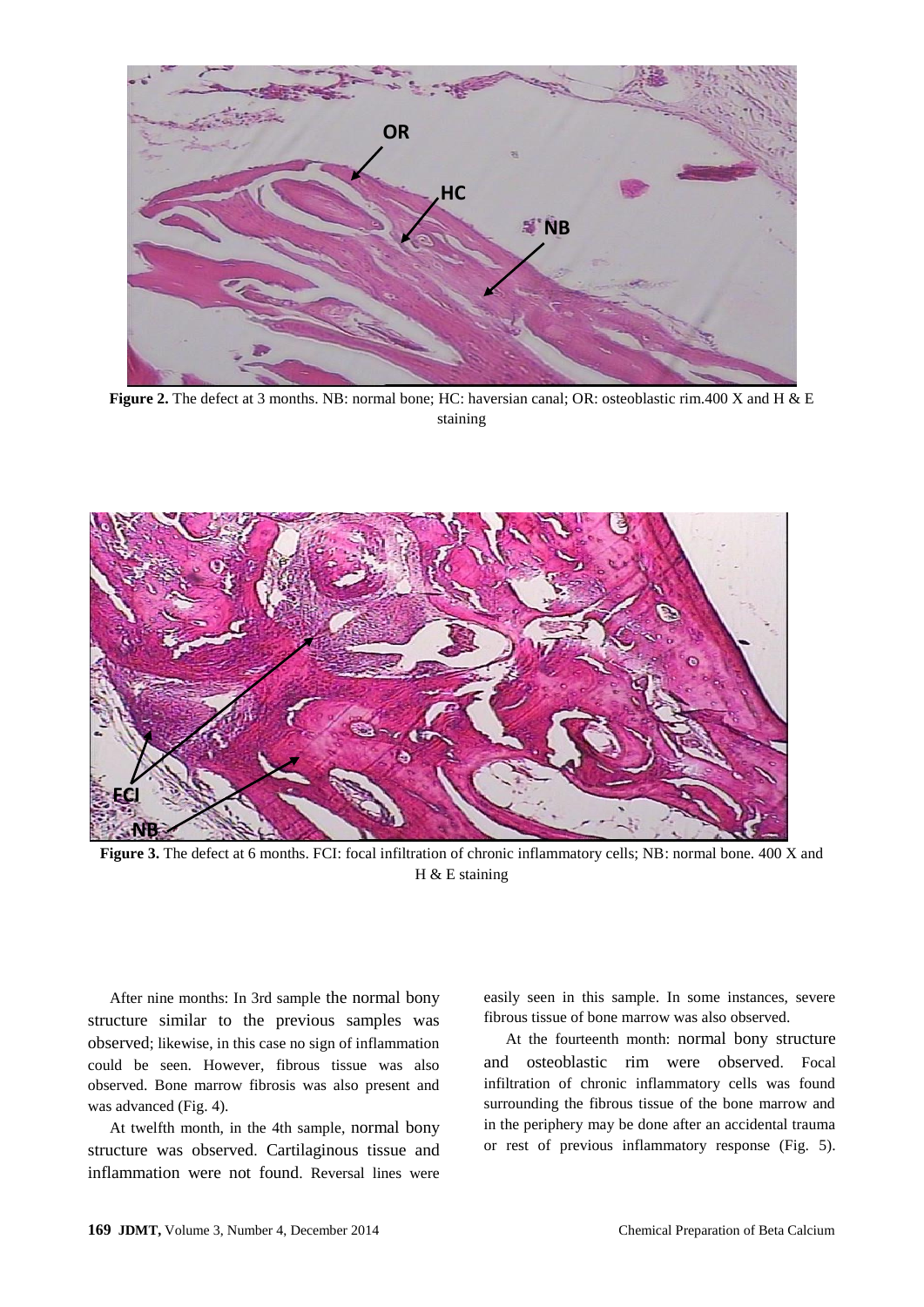

**Figure 2.** The defect at 3 months. NB: normal bone; HC: haversian canal; OR: osteoblastic rim.400 X and H & E staining



**Figure 3.** The defect at 6 months. FCI: focal infiltration of chronic inflammatory cells; NB: normal bone. 400 X and H & E staining

After nine months: In 3rd sample the normal bony structure similar to the previous samples was observed; likewise, in this case no sign of inflammation could be seen. However, fibrous tissue was also observed. Bone marrow fibrosis was also present and was advanced (Fig. 4).

At twelfth month, in the 4th sample, normal bony structure was observed. Cartilaginous tissue and inflammation were not found. Reversal lines were

easily seen in this sample. In some instances, severe fibrous tissue of bone marrow was also observed.

At the fourteenth month: normal bony structure and osteoblastic rim were observed. Focal infiltration of chronic inflammatory cells was found surrounding the fibrous tissue of the bone marrow and in the periphery may be done after an accidental trauma or rest of previous inflammatory response (Fig. 5).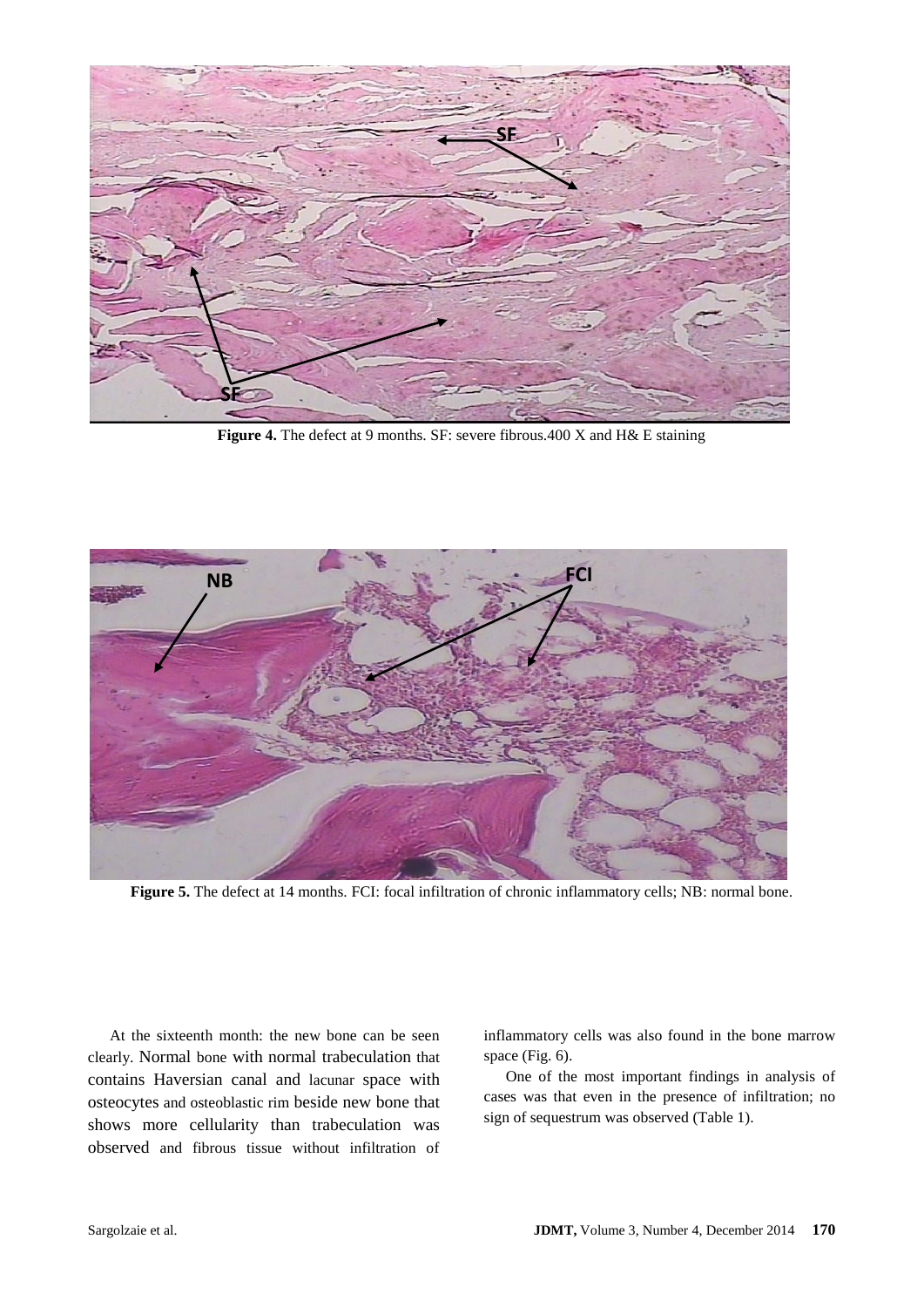

**Figure 4.** The defect at 9 months. SF: severe fibrous.400 X and H& E staining



**Figure 5.** The defect at 14 months. FCI: focal infiltration of chronic inflammatory cells; NB: normal bone.

At the sixteenth month: the new bone can be seen clearly. Normal bone with normal trabeculation that contains Haversian canal and lacunar space with osteocytes and osteoblastic rim beside new bone that shows more cellularity than trabeculation was observed and fibrous tissue without infiltration of

inflammatory cells was also found in the bone marrow space (Fig. 6).

One of the most important findings in analysis of cases was that even in the presence of infiltration; no sign of sequestrum was observed (Table 1).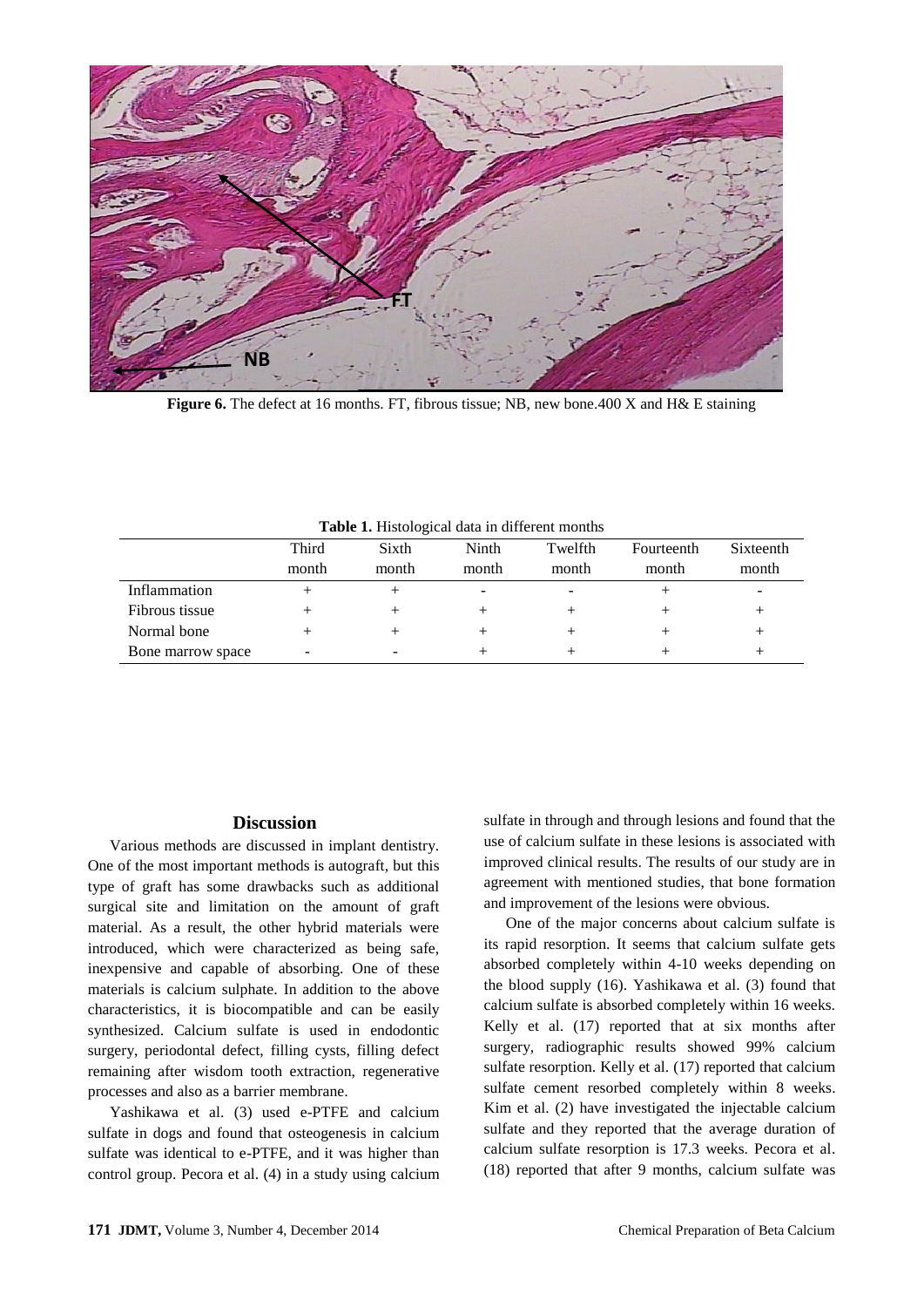

**Figure 6.** The defect at 16 months. FT, fibrous tissue; NB, new bone.400 X and H& E staining

|                   | Third<br>month | Sixth<br>month | Ninth<br>month | Twelfth<br>month | Fourteenth<br>month | Sixteenth<br>month |
|-------------------|----------------|----------------|----------------|------------------|---------------------|--------------------|
| Inflammation      |                |                | -              |                  |                     |                    |
| Fibrous tissue    |                |                |                |                  |                     |                    |
| Normal bone       | +              |                |                |                  |                     |                    |
| Bone marrow space | -              |                |                |                  |                     |                    |

**Table 1.** Histological data in different months

#### **Discussion**

Various methods are discussed in implant dentistry. One of the most important methods is autograft, but this type of graft has some drawbacks such as additional surgical site and limitation on the amount of graft material. As a result, the other hybrid materials were introduced, which were characterized as being safe, inexpensive and capable of absorbing. One of these materials is calcium sulphate. In addition to the above characteristics, it is biocompatible and can be easily synthesized. Calcium sulfate is used in endodontic surgery, periodontal defect, filling cysts, filling defect remaining after wisdom tooth extraction, regenerative processes and also as a barrier membrane.

Yashikawa et al. (3) used e-PTFE and calcium sulfate in dogs and found that osteogenesis in calcium sulfate was identical to e-PTFE, and it was higher than control group. Pecora et al. (4) in a study using calcium

sulfate in through and through lesions and found that the use of calcium sulfate in these lesions is associated with improved clinical results. The results of our study are in agreement with mentioned studies, that bone formation and improvement of the lesions were obvious.

One of the major concerns about calcium sulfate is its rapid resorption. It seems that calcium sulfate gets absorbed completely within 4-10 weeks depending on the blood supply (16). Yashikawa et al. (3) found that calcium sulfate is absorbed completely within 16 weeks. Kelly et al. (17) reported that at six months after surgery, radiographic results showed 99% calcium sulfate resorption. Kelly et al. (17) reported that calcium sulfate cement resorbed completely within 8 weeks. Kim et al. (2) have investigated the injectable calcium sulfate and they reported that the average duration of calcium sulfate resorption is 17.3 weeks. Pecora et al. (18) reported that after 9 months, calcium sulfate was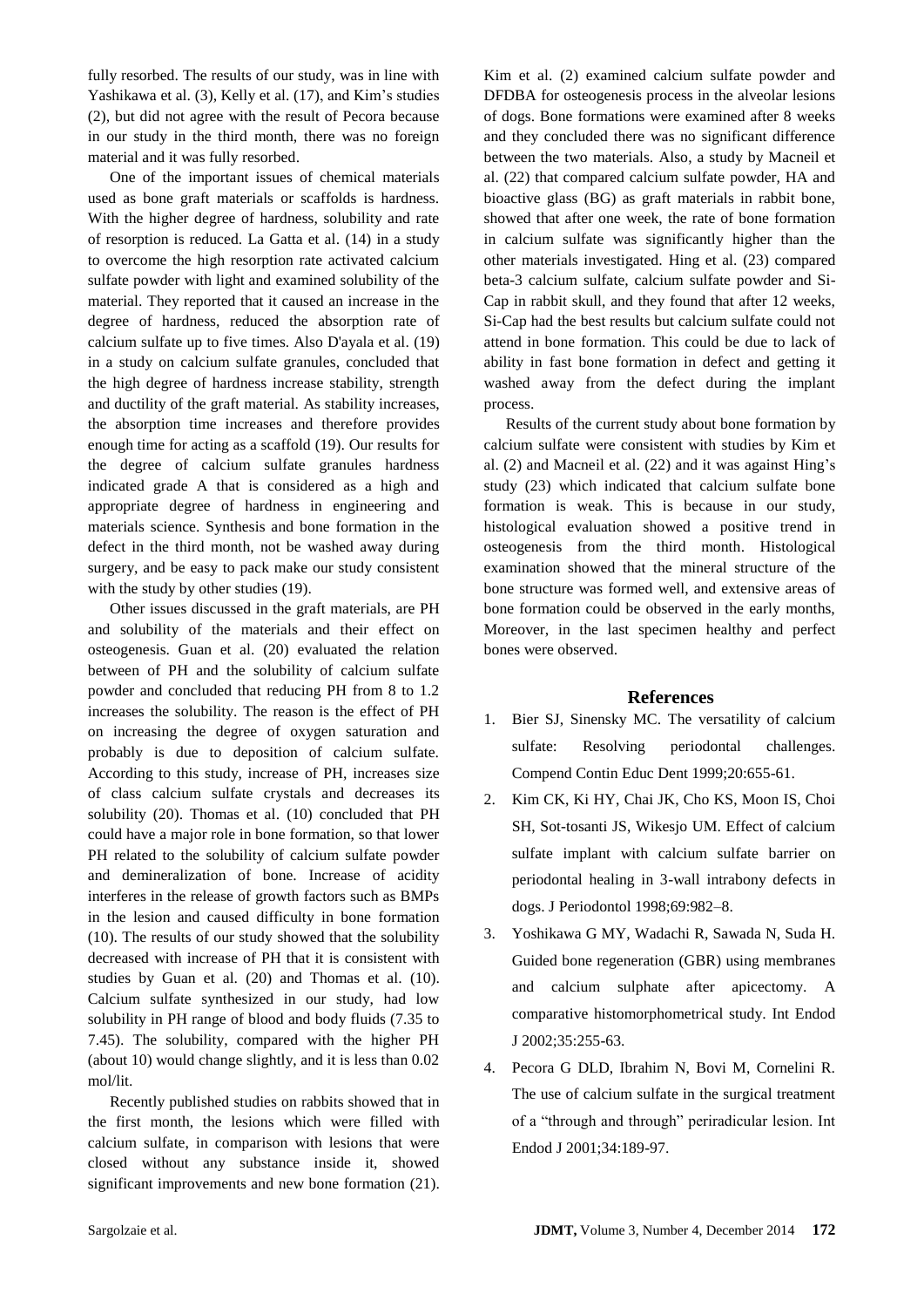fully resorbed. The results of our study, was in line with Yashikawa et al. (3), Kelly et al. (17), and Kim's studies (2), but did not agree with the result of Pecora because in our study in the third month, there was no foreign material and it was fully resorbed.

One of the important issues of chemical materials used as bone graft materials or scaffolds is hardness. With the higher degree of hardness, solubility and rate of resorption is reduced. La Gatta et al. (14) in a study to overcome the high resorption rate activated calcium sulfate powder with light and examined solubility of the material. They reported that it caused an increase in the degree of hardness, reduced the absorption rate of calcium sulfate up to five times. Also D'ayala et al. (19) in a study on calcium sulfate granules, concluded that the high degree of hardness increase stability, strength and ductility of the graft material. As stability increases, the absorption time increases and therefore provides enough time for acting as a scaffold (19). Our results for the degree of calcium sulfate granules hardness indicated grade A that is considered as a high and appropriate degree of hardness in engineering and materials science. Synthesis and bone formation in the defect in the third month, not be washed away during surgery, and be easy to pack make our study consistent with the study by other studies (19).

Other issues discussed in the graft materials, are PH and solubility of the materials and their effect on osteogenesis. Guan et al. (20) evaluated the relation between of PH and the solubility of calcium sulfate powder and concluded that reducing PH from 8 to 1.2 increases the solubility. The reason is the effect of PH on increasing the degree of oxygen saturation and probably is due to deposition of calcium sulfate. According to this study, increase of PH, increases size of class calcium sulfate crystals and decreases its solubility (20). Thomas et al. (10) concluded that PH could have a major role in bone formation, so that lower PH related to the solubility of calcium sulfate powder and demineralization of bone. Increase of acidity interferes in the release of growth factors such as BMPs in the lesion and caused difficulty in bone formation (10). The results of our study showed that the solubility decreased with increase of PH that it is consistent with studies by Guan et al. (20) and Thomas et al. (10). Calcium sulfate synthesized in our study, had low solubility in PH range of blood and body fluids (7.35 to 7.45). The solubility, compared with the higher PH (about 10) would change slightly, and it is less than 0.02 mol/lit.

Recently published studies on rabbits showed that in the first month, the lesions which were filled with calcium sulfate, in comparison with lesions that were closed without any substance inside it, showed significant improvements and new bone formation (21). Kim et al. (2) examined calcium sulfate powder and DFDBA for osteogenesis process in the alveolar lesions of dogs. Bone formations were examined after 8 weeks and they concluded there was no significant difference between the two materials. Also, a study by Macneil et al. (22) that compared calcium sulfate powder, HA and bioactive glass (BG) as graft materials in rabbit bone, showed that after one week, the rate of bone formation in calcium sulfate was significantly higher than the other materials investigated. Hing et al. (23) compared beta-3 calcium sulfate, calcium sulfate powder and Si-Cap in rabbit skull, and they found that after 12 weeks, Si-Cap had the best results but calcium sulfate could not attend in bone formation. This could be due to lack of ability in fast bone formation in defect and getting it washed away from the defect during the implant process.

Results of the current study about bone formation by calcium sulfate were consistent with studies by Kim et al. (2) and Macneil et al. (22) and it was against Hing's study (23) which indicated that calcium sulfate bone formation is weak. This is because in our study, histological evaluation showed a positive trend in osteogenesis from the third month. Histological examination showed that the mineral structure of the bone structure was formed well, and extensive areas of bone formation could be observed in the early months, Moreover, in the last specimen healthy and perfect bones were observed.

#### **References**

- 1. Bier SJ, Sinensky MC. The versatility of calcium sulfate: Resolving periodontal challenges. Compend Contin Educ Dent 1999;20:655-61.
- 2. Kim CK, Ki HY, Chai JK, Cho KS, Moon IS, Choi SH, Sot-tosanti JS, Wikesjo UM. Effect of calcium sulfate implant with calcium sulfate barrier on periodontal healing in 3-wall intrabony defects in dogs. J Periodontol 1998;69:982–8.
- 3. Yoshikawa G MY, Wadachi R, Sawada N, Suda H. Guided bone regeneration (GBR) using membranes and calcium sulphate after apicectomy. A comparative histomorphometrical study. Int Endod J 2002;35:255-63.
- 4. Pecora G DLD, Ibrahim N, Bovi M, Cornelini R. The use of calcium sulfate in the surgical treatment of a "through and through" periradicular lesion. Int Endod J 2001;34:189-97.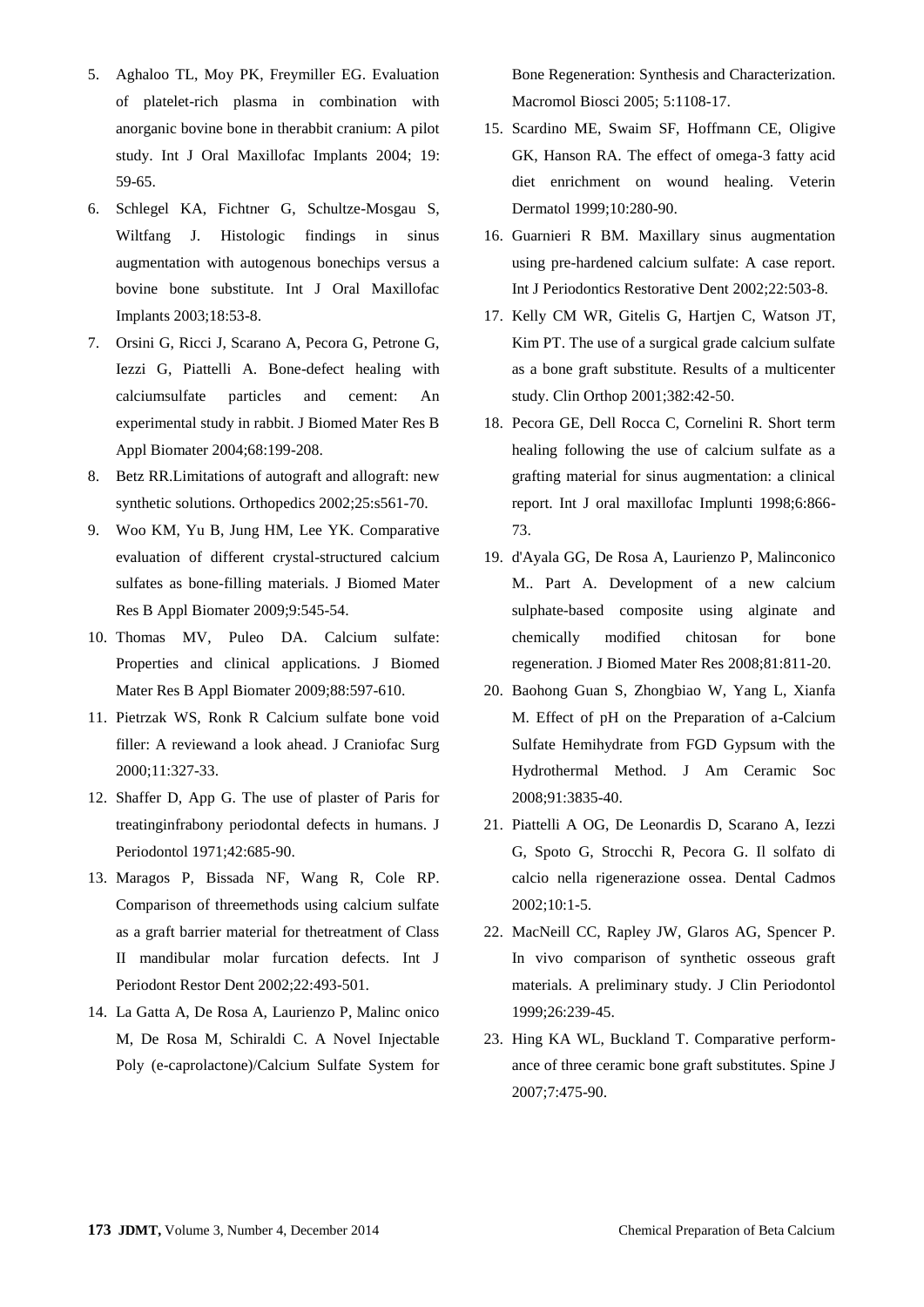- 5. Aghaloo TL, Moy PK, Freymiller EG. Evaluation of platelet-rich plasma in combination with anorganic bovine bone in therabbit cranium: A pilot study. Int J Oral Maxillofac Implants 2004; 19: 59-65.
- 6. Schlegel KA, Fichtner G, Schultze-Mosgau S, Wiltfang J. Histologic findings in sinus augmentation with autogenous bonechips versus a bovine bone substitute. Int J Oral Maxillofac Implants 2003;18:53-8.
- 7. Orsini G, Ricci J, Scarano A, Pecora G, Petrone G, Iezzi G, Piattelli A. Bone-defect healing with calciumsulfate particles and cement: An experimental study in rabbit. J Biomed Mater Res B Appl Biomater 2004;68:199-208.
- 8. [Betz RR.](http://www.ncbi.nlm.nih.gov/pubmed?term=Betz%20RR%5BAuthor%5D&cauthor=true&cauthor_uid=12038843)Limitations of autograft and allograft: new synthetic solutions. [Orthopedics](http://www.ncbi.nlm.nih.gov/pubmed?term=Limitations%20of%20autograft%20and%20allograft%3A%20new%20synthetic%20solutions.) 2002;25:s561-70.
- 9. [Woo KM,](http://www.ncbi.nlm.nih.gov/pubmed?term=Woo%20KM%5BAuthor%5D&cauthor=true&cauthor_uid=19507143) [Yu B,](http://www.ncbi.nlm.nih.gov/pubmed?term=Yu%20B%5BAuthor%5D&cauthor=true&cauthor_uid=19507143) [Jung HM,](http://www.ncbi.nlm.nih.gov/pubmed?term=Jung%20HM%5BAuthor%5D&cauthor=true&cauthor_uid=19507143) [Lee YK.](http://www.ncbi.nlm.nih.gov/pubmed?term=Lee%20YK%5BAuthor%5D&cauthor=true&cauthor_uid=19507143) Comparative evaluation of different crystal-structured calcium sulfates as bone-filling materials. [J Biomed Mater](http://www.ncbi.nlm.nih.gov/pubmed/19507143)  [Res B Appl Biomater](http://www.ncbi.nlm.nih.gov/pubmed/19507143) 2009;9:545-54.
- 10. [Thomas MV,](http://www.ncbi.nlm.nih.gov/pubmed?term=Thomas%20MV%5BAuthor%5D&cauthor=true&cauthor_uid=19025981) [Puleo DA.](http://www.ncbi.nlm.nih.gov/pubmed?term=Puleo%20DA%5BAuthor%5D&cauthor=true&cauthor_uid=19025981) Calcium sulfate: Properties and clinical applications. [J Biomed](http://www.ncbi.nlm.nih.gov/pubmed/19025981)  [Mater Res B Appl Biomater](http://www.ncbi.nlm.nih.gov/pubmed/19025981) 2009;88:597-610.
- 11. Pietrzak WS, Ronk R Calcium sulfate bone void filler: A reviewand a look ahead. J Craniofac Surg 2000;11:327-33.
- 12. Shaffer D, App G. The use of plaster of Paris for treatinginfrabony periodontal defects in humans. J Periodontol 1971;42:685-90.
- 13. Maragos P, Bissada NF, Wang R, Cole RP. Comparison of threemethods using calcium sulfate as a graft barrier material for thetreatment of Class II mandibular molar furcation defects. Int J Periodont Restor Dent 2002;22:493-501.
- 14. La Gatta A, De Rosa A, Laurienzo P, Malinc onico M, De Rosa M, Schiraldi C. A Novel Injectable Poly (e-caprolactone)/Calcium Sulfate System for

Bone Regeneration: Synthesis and Characterization. Macromol Biosci 2005; 5:1108-17.

- 15. Scardino ME, Swaim SF, Hoffmann CE, Oligive GK, Hanson RA. The effect of omega-3 fatty acid diet enrichment on wound healing. Veterin Dermatol 1999;10:280-90.
- 16. Guarnieri R BM. Maxillary sinus augmentation using pre-hardened calcium sulfate: A case report. Int J Periodontics Restorative Dent 2002;22:503-8.
- 17. Kelly CM WR, Gitelis G, Hartjen C, Watson JT, Kim PT. The use of a surgical grade calcium sulfate as a bone graft substitute. Results of a multicenter study. Clin Orthop 2001;382:42-50.
- 18. Pecora GE, Dell Rocca C, Cornelini R. Short term healing following the use of calcium sulfate as a grafting material for sinus augmentation: a clinical report. Int J oral maxillofac Implunti 1998;6:866- 73.
- 19. d'Ayala GG, De Rosa A, Laurienzo P, Malinconico M.. Part A. Development of a new calcium sulphate-based composite using alginate and chemically modified chitosan for bone regeneration. J Biomed Mater Res 2008;81:811-20.
- 20. Baohong Guan S, Zhongbiao W, Yang L, Xianfa M. Effect of pH on the Preparation of a-Calcium Sulfate Hemihydrate from FGD Gypsum with the Hydrothermal Method. [J Am Ceramic Soc](http://www.researchgate.net/journal/1551-2916_Journal_of_the_American_Ceramic_Society) 2008;91:3835-40.
- 21. Piattelli A OG, De Leonardis D, Scarano A, Iezzi G, Spoto G, Strocchi R, Pecora G. Il solfato di calcio nella rigenerazione ossea. Dental Cadmos 2002;10:1-5.
- 22. MacNeill CC, Rapley JW, Glaros AG, Spencer P. In vivo comparison of synthetic osseous graft materials. A preliminary study. J Clin Periodontol 1999;26:239-45.
- 23. Hing KA WL, Buckland T. Comparative performance of three ceramic bone graft substitutes. Spine J 2007;7:475-90.